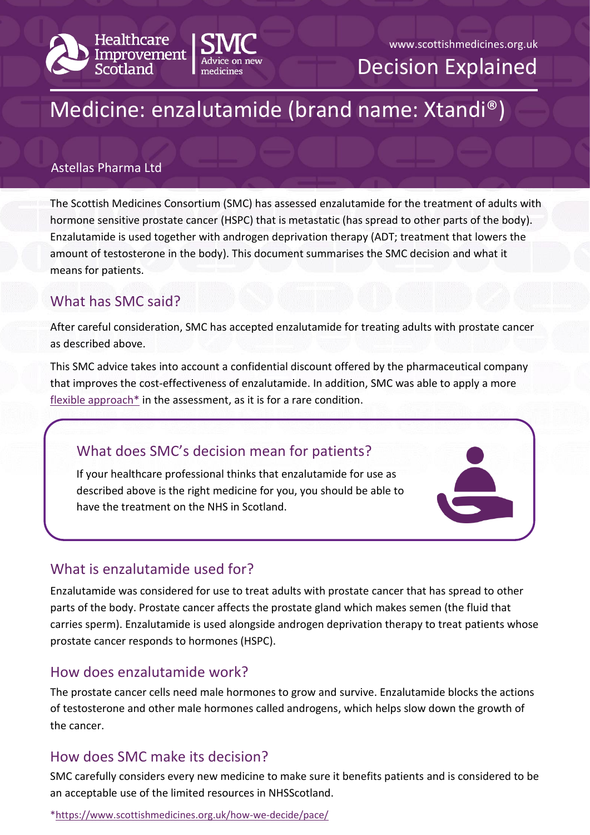



## www.scottishmedicines.org.uk

Decision Explained

# Medicine: enzalutamide (brand name: Xtandi®)

## Astellas Pharma Ltd

The Scottish Medicines Consortium (SMC) has assessed enzalutamide for the treatment of adults with hormone sensitive prostate cancer (HSPC) that is metastatic (has spread to other parts of the body). Enzalutamide is used together with androgen deprivation therapy (ADT; treatment that lowers the amount of testosterone in the body). This document summarises the SMC decision and what it means for patients.

# What has SMC said?

After careful consideration, SMC has accepted enzalutamide for treating adults with prostate cancer as described above.

This SMC advice takes into account a confidential discount offered by the pharmaceutical company that improves the cost-effectiveness of enzalutamide. In addition, SMC was able to apply a more flexible approach $*$  in the assessment, as it is for a rare condition.

# What does SMC's decision mean for patients?

If your healthcare professional thinks that enzalutamide for use as described above is the right medicine for you, you should be able to have the treatment on the NHS in Scotland.

# What is enzalutamide used for?

Enzalutamide was considered for use to treat adults with prostate cancer that has spread to other parts of the body. Prostate cancer affects the prostate gland which makes semen (the fluid that carries sperm). Enzalutamide is used alongside androgen deprivation therapy to treat patients whose prostate cancer responds to hormones (HSPC).

## How does enzalutamide work?

The prostate cancer cells need male hormones to grow and survive. Enzalutamide blocks the actions of testosterone and other male hormones called androgens, which helps slow down the growth of the cancer.

# How does SMC make its decision?

SMC carefully considers every new medicine to make sure it benefits patients and is considered to be an acceptable use of the limited resources in NHSScotland.

[\\*https://www.scottishmedicines.org.uk/how-we-decide/pace/](https://www.scottishmedicines.org.uk/how-we-decide/pace/)